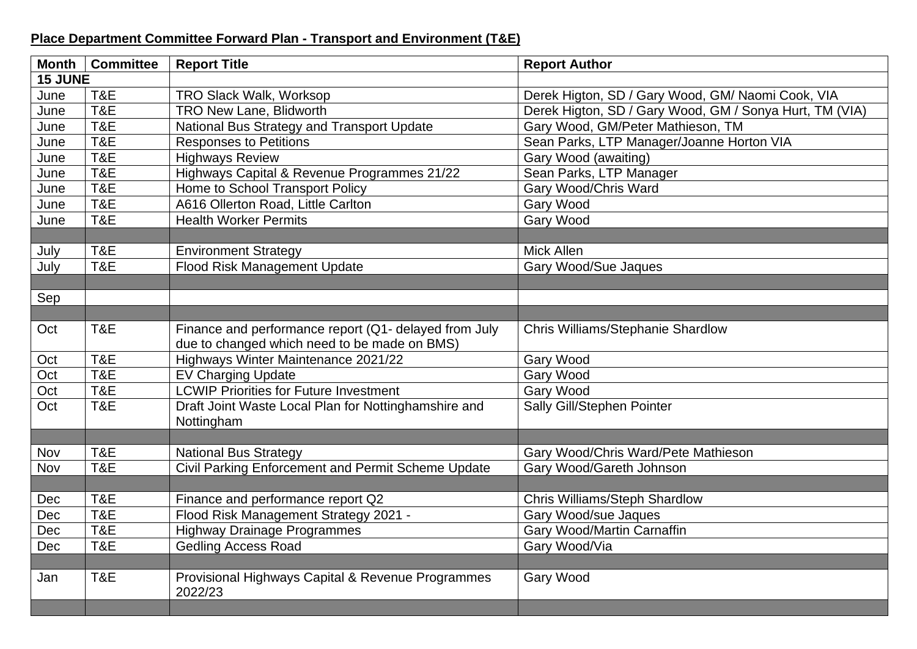## **Place Department Committee Forward Plan - Transport and Environment (T&E)**

| <b>Month</b> | <b>Committee</b> | <b>Report Title</b>                                   | <b>Report Author</b>                                    |  |
|--------------|------------------|-------------------------------------------------------|---------------------------------------------------------|--|
| 15 JUNE      |                  |                                                       |                                                         |  |
| June         | T&E              | <b>TRO Slack Walk, Worksop</b>                        | Derek Higton, SD / Gary Wood, GM/ Naomi Cook, VIA       |  |
| June         | T&E              | TRO New Lane, Blidworth                               | Derek Higton, SD / Gary Wood, GM / Sonya Hurt, TM (VIA) |  |
| June         | T&E              | National Bus Strategy and Transport Update            | Gary Wood, GM/Peter Mathieson, TM                       |  |
| June         | T&E              | <b>Responses to Petitions</b>                         | Sean Parks, LTP Manager/Joanne Horton VIA               |  |
| June         | T&E              | <b>Highways Review</b>                                | Gary Wood (awaiting)                                    |  |
| June         | T&E              | Highways Capital & Revenue Programmes 21/22           | Sean Parks, LTP Manager                                 |  |
| June         | T&E              | Home to School Transport Policy                       | Gary Wood/Chris Ward                                    |  |
| June         | T&E              | A616 Ollerton Road, Little Carlton                    | Gary Wood                                               |  |
| June         | T&E              | <b>Health Worker Permits</b>                          | Gary Wood                                               |  |
|              |                  |                                                       |                                                         |  |
| July         | T&E              | <b>Environment Strategy</b>                           | <b>Mick Allen</b>                                       |  |
| July         | T&E              | <b>Flood Risk Management Update</b>                   | <b>Gary Wood/Sue Jaques</b>                             |  |
|              |                  |                                                       |                                                         |  |
| Sep          |                  |                                                       |                                                         |  |
|              |                  |                                                       |                                                         |  |
| Oct          | T&E              | Finance and performance report (Q1- delayed from July | Chris Williams/Stephanie Shardlow                       |  |
|              |                  | due to changed which need to be made on BMS)          |                                                         |  |
| Oct          | T&E              | Highways Winter Maintenance 2021/22                   | Gary Wood                                               |  |
| Oct          | T&E              | <b>EV Charging Update</b>                             | Gary Wood                                               |  |
| Oct          | T&E              | <b>LCWIP Priorities for Future Investment</b>         | <b>Gary Wood</b>                                        |  |
| Oct          | T&E              | Draft Joint Waste Local Plan for Nottinghamshire and  | Sally Gill/Stephen Pointer                              |  |
|              |                  | Nottingham                                            |                                                         |  |
|              |                  |                                                       |                                                         |  |
| Nov          | T&E              | <b>National Bus Strategy</b>                          | Gary Wood/Chris Ward/Pete Mathieson                     |  |
| Nov          | T&E              | Civil Parking Enforcement and Permit Scheme Update    | Gary Wood/Gareth Johnson                                |  |
|              |                  |                                                       |                                                         |  |
| Dec          | T&E              | Finance and performance report Q2                     | Chris Williams/Steph Shardlow                           |  |
| Dec          | T&E              | Flood Risk Management Strategy 2021 -                 | Gary Wood/sue Jaques                                    |  |
| Dec          | T&E              | <b>Highway Drainage Programmes</b>                    | Gary Wood/Martin Carnaffin                              |  |
| Dec          | T&E              | <b>Gedling Access Road</b>                            | Gary Wood/Via                                           |  |
|              |                  |                                                       |                                                         |  |
| Jan          | T&E              | Provisional Highways Capital & Revenue Programmes     | Gary Wood                                               |  |
|              |                  | 2022/23                                               |                                                         |  |
|              |                  |                                                       |                                                         |  |